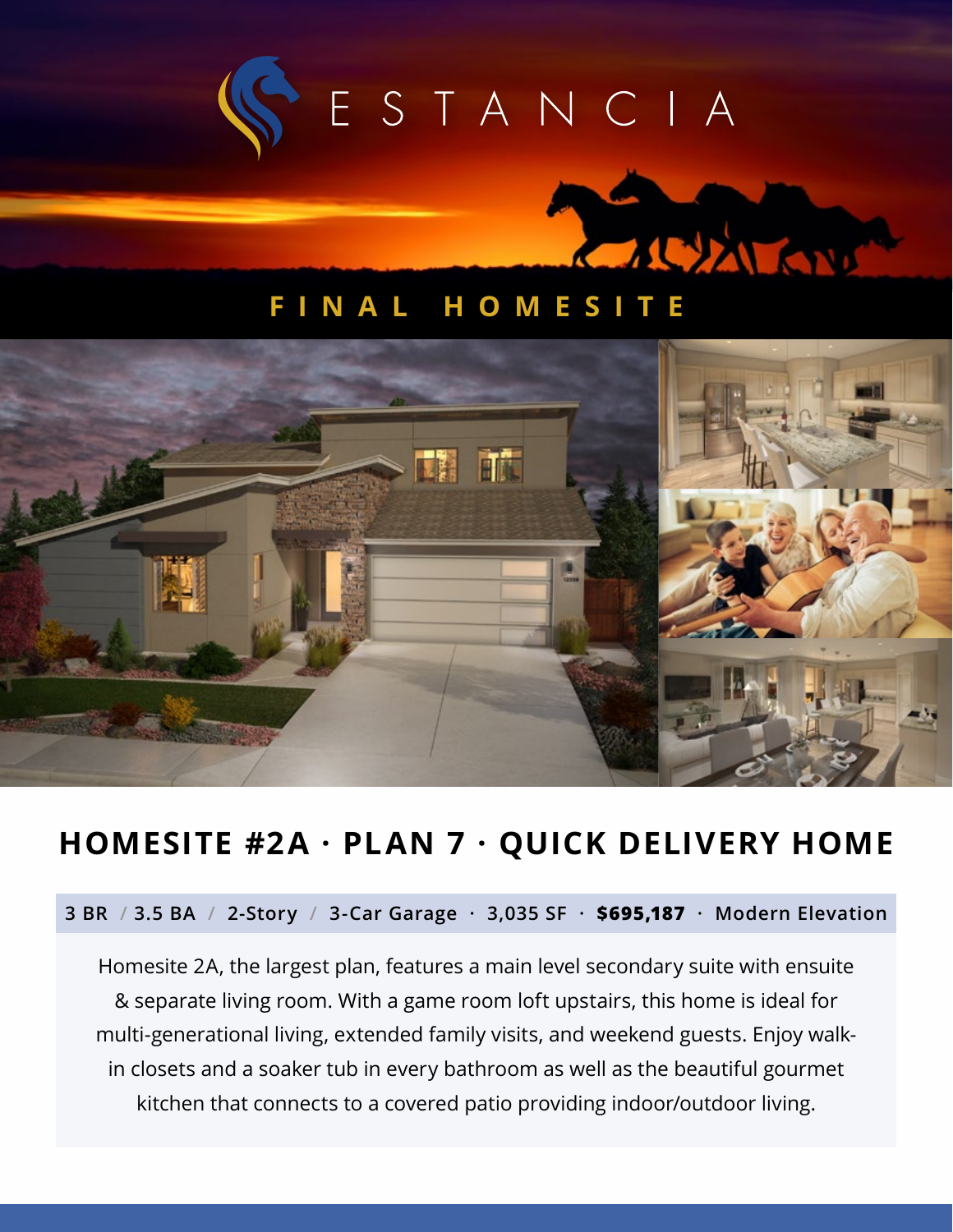



## **FINAL HOMESI**



# **HOMESITE #2A · PLAN 7 · QUICK DELIVERY HOME**

### **3 BR / 3.5 BA / 2-Story / 3-Car Garage · 3,035 SF · \$695,187 · Modern Elevation**

Homesite 2A, the largest plan, features a main level secondary suite with ensuite & separate living room. With a game room loft upstairs, this home is ideal for multi-generational living, extended family visits, and weekend guests. Enjoy walkin closets and a soaker tub in every bathroom as well as the beautiful gourmet kitchen that connects to a covered patio providing indoor/outdoor living.